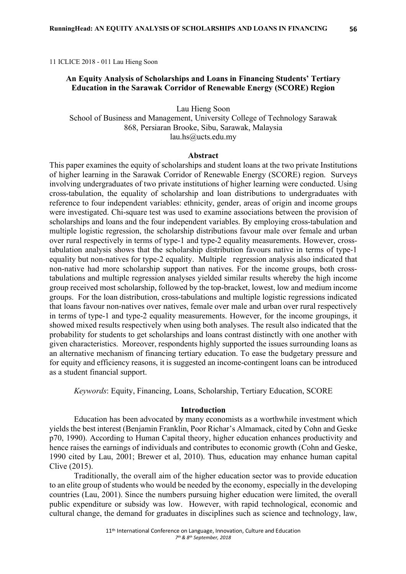11 ICLICE 2018 - 011 Lau Hieng Soon

## **An Equity Analysis of Scholarships and Loans in Financing Students' Tertiary Education in the Sarawak Corridor of Renewable Energy (SCORE) Region**

Lau Hieng Soon School of Business and Management, University College of Technology Sarawak 868, Persiaran Brooke, Sibu, Sarawak, Malaysia lau.hs@ucts.edu.my

### **Abstract**

This paper examines the equity of scholarships and student loans at the two private Institutions of higher learning in the Sarawak Corridor of Renewable Energy (SCORE) region. Surveys involving undergraduates of two private institutions of higher learning were conducted. Using cross-tabulation, the equality of scholarship and loan distributions to undergraduates with reference to four independent variables: ethnicity, gender, areas of origin and income groups were investigated. Chi-square test was used to examine associations between the provision of scholarships and loans and the four independent variables. By employing cross-tabulation and multiple logistic regression, the scholarship distributions favour male over female and urban over rural respectively in terms of type-1 and type-2 equality measurements. However, crosstabulation analysis shows that the scholarship distribution favours native in terms of type-1 equality but non-natives for type-2 equality. Multiple regression analysis also indicated that non-native had more scholarship support than natives. For the income groups, both crosstabulations and multiple regression analyses yielded similar results whereby the high income group received most scholarship, followed by the top-bracket, lowest, low and medium income groups. For the loan distribution, cross-tabulations and multiple logistic regressions indicated that loans favour non-natives over natives, female over male and urban over rural respectively in terms of type-1 and type-2 equality measurements. However, for the income groupings, it showed mixed results respectively when using both analyses. The result also indicated that the probability for students to get scholarships and loans contrast distinctly with one another with given characteristics. Moreover, respondents highly supported the issues surrounding loans as an alternative mechanism of financing tertiary education. To ease the budgetary pressure and for equity and efficiency reasons, it is suggested an income-contingent loans can be introduced as a student financial support.

*Keywords*: Equity, Financing, Loans, Scholarship, Tertiary Education, SCORE

## **Introduction**

Education has been advocated by many economists as a worthwhile investment which yields the best interest (Benjamin Franklin, Poor Richar's Almamack, cited by Cohn and Geske p70, 1990). According to Human Capital theory, higher education enhances productivity and hence raises the earnings of individuals and contributes to economic growth (Cohn and Geske, 1990 cited by Lau, 2001; Brewer et al, 2010). Thus, education may enhance human capital Clive (2015).

Traditionally, the overall aim of the higher education sector was to provide education to an elite group of students who would be needed by the economy, especially in the developing countries (Lau, 2001). Since the numbers pursuing higher education were limited, the overall public expenditure or subsidy was low. However, with rapid technological, economic and cultural change, the demand for graduates in disciplines such as science and technology, law,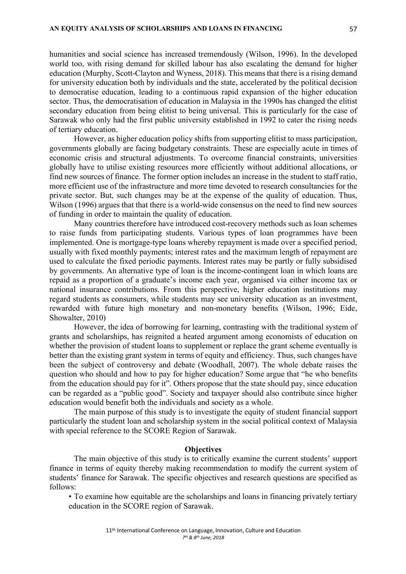humanities and social science has increased tremendously (Wilson, 1996). In the developed world too, with rising demand for skilled labour has also escalating the demand for higher education (Murphy, Scott-Clayton and Wyness, 2018). This means that there is a rising demand for university education both by individuals and the state, accelerated by the political decision to democratise education, leading to a continuous rapid expansion of the higher education sector. Thus, the democratisation of education in Malaysia in the 1990s has changed the elitist secondary education from being elitist to being universal. This is particularly for the case of Sarawak who only had the first public university established in 1992 to cater the rising needs of tertiary education.

However, as higher education policy shifts from supporting elitist to mass participation, governments globally are facing budgetary constraints. These are especially acute in times of economic crisis and structural adjustments. To overcome financial constraints, universities globally have to utilise existing resources more efficiently without additional allocations, or find new sources of finance. The former option includes an increase in the student to staff ratio, more efficient use of the infrastructure and more time devoted to research consultancies for the private sector. But, such changes may be at the expense of the quality of education. Thus, Wilson (1996) argues that that there is a world-wide consensus on the need to find new sources of funding in order to maintain the quality of education.

Many countries therefore have introduced cost-recovery methods such as loan schemes to raise funds from participating students. Various types of loan programmes have been implemented. One is mortgage-type loans whereby repayment is made over a specified period, usually with fixed monthly payments; interest rates and the maximum length of repayment are used to calculate the fixed periodic payments. Interest rates may be partly or fully subsidised by governments. An alternative type of loan is the income-contingent loan in which loans are repaid as a proportion of a graduate's income each year, organised via either income tax or national insurance contributions. From this perspective, higher education institutions may regard students as consumers, while students may see university education as an investment, rewarded with future high monetary and non-monetary benefits (Wilson, 1996; Eide, Showalter, 2010)

However, the idea of borrowing for learning, contrasting with the traditional system of grants and scholarships, has reignited a heated argument among economists of education on whether the provision of student loans to supplement or replace the grant scheme eventually is better than the existing grant system in terms of equity and efficiency. Thus, such changes have been the subject of controversy and debate (Woodhall, 2007). The whole debate raises the question who should and how to pay for higher education? Some argue that "he who benefits from the education should pay for it". Others propose that the state should pay, since education can be regarded as a "public good". Society and taxpayer should also contribute since higher education would benefit both the individuals and society as a whole.

The main purpose of this study is to investigate the equity of student financial support particularly the student loan and scholarship system in the social political context of Malaysia with special reference to the SCORE Region of Sarawak.

## **Objectives**

The main objective of this study is to critically examine the current students' support finance in terms of equity thereby making recommendation to modify the current system of students' finance for Sarawak. The specific objectives and research questions are specified as follows:

• To examine how equitable are the scholarships and loans in financing privately tertiary education in the SCORE region of Sarawak.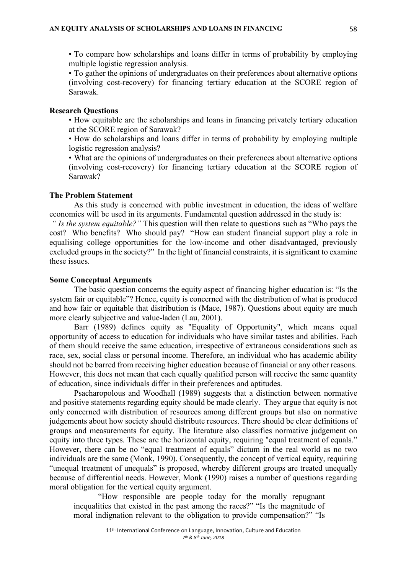• To compare how scholarships and loans differ in terms of probability by employing multiple logistic regression analysis.

• To gather the opinions of undergraduates on their preferences about alternative options (involving cost-recovery) for financing tertiary education at the SCORE region of Sarawak.

## **Research Questions**

• How equitable are the scholarships and loans in financing privately tertiary education at the SCORE region of Sarawak?

• How do scholarships and loans differ in terms of probability by employing multiple logistic regression analysis?

• What are the opinions of undergraduates on their preferences about alternative options (involving cost-recovery) for financing tertiary education at the SCORE region of Sarawak?

## **The Problem Statement**

As this study is concerned with public investment in education, the ideas of welfare economics will be used in its arguments. Fundamental question addressed in the study is:

*" Is the system equitable?"* This question will then relate to questions such as "Who pays the cost? Who benefits? Who should pay? "How can student financial support play a role in equalising college opportunities for the low-income and other disadvantaged, previously excluded groups in the society?" In the light of financial constraints, it is significant to examine these issues.

## **Some Conceptual Arguments**

The basic question concerns the equity aspect of financing higher education is: "Is the system fair or equitable"? Hence, equity is concerned with the distribution of what is produced and how fair or equitable that distribution is (Mace, 1987). Questions about equity are much more clearly subjective and value-laden (Lau, 2001).

Barr (1989) defines equity as "Equality of Opportunity", which means equal opportunity of access to education for individuals who have similar tastes and abilities. Each of them should receive the same education, irrespective of extraneous considerations such as race, sex, social class or personal income. Therefore, an individual who has academic ability should not be barred from receiving higher education because of financial or any other reasons. However, this does not mean that each equally qualified person will receive the same quantity of education, since individuals differ in their preferences and aptitudes.

Psacharopolous and Woodhall (1989) suggests that a distinction between normative and positive statements regarding equity should be made clearly. They argue that equity is not only concerned with distribution of resources among different groups but also on normative judgements about how society should distribute resources. There should be clear definitions of groups and measurements for equity. The literature also classifies normative judgement on equity into three types. These are the horizontal equity, requiring "equal treatment of equals." However, there can be no "equal treatment of equals" dictum in the real world as no two individuals are the same (Monk, 1990). Consequently, the concept of vertical equity, requiring "unequal treatment of unequals" is proposed, whereby different groups are treated unequally because of differential needs. However, Monk (1990) raises a number of questions regarding moral obligation for the vertical equity argument.

"How responsible are people today for the morally repugnant inequalities that existed in the past among the races?" "Is the magnitude of moral indignation relevant to the obligation to provide compensation?" "Is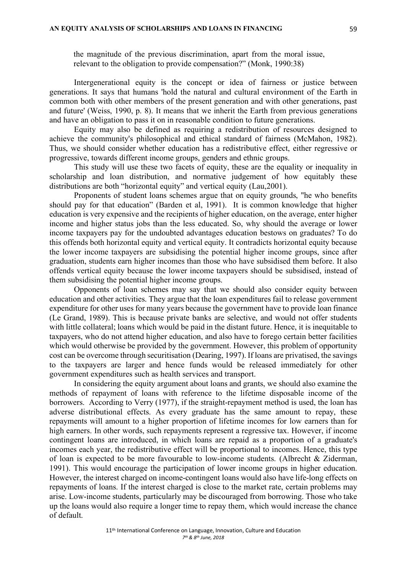the magnitude of the previous discrimination, apart from the moral issue, relevant to the obligation to provide compensation?" (Monk, 1990:38)

Intergenerational equity is the concept or idea of fairness or justice between generations. It says that humans 'hold the natural and cultural environment of the Earth in common both with other members of the present generation and with other generations, past and future' (Weiss, 1990, p. 8). It means that we inherit the Earth from previous generations and have an obligation to pass it on in reasonable condition to future generations.

Equity may also be defined as requiring a redistribution of resources designed to achieve the community's philosophical and ethical standard of fairness (McMahon, 1982). Thus, we should consider whether education has a redistributive effect, either regressive or progressive, towards different income groups, genders and ethnic groups.

This study will use these two facets of equity, these are the equality or inequality in scholarship and loan distribution, and normative judgement of how equitably these distributions are both "horizontal equity" and vertical equity (Lau,2001).

Proponents of student loans schemes argue that on equity grounds, "he who benefits should pay for that education" (Barden et al, 1991). It is common knowledge that higher education is very expensive and the recipients of higher education, on the average, enter higher income and higher status jobs than the less educated. So, why should the average or lower income taxpayers pay for the undoubted advantages education bestows on graduates? To do this offends both horizontal equity and vertical equity. It contradicts horizontal equity because the lower income taxpayers are subsidising the potential higher income groups, since after graduation, students earn higher incomes than those who have subsidised them before. It also offends vertical equity because the lower income taxpayers should be subsidised, instead of them subsidising the potential higher income groups.

Opponents of loan schemes may say that we should also consider equity between education and other activities. They argue that the loan expenditures fail to release government expenditure for other uses for many years because the government have to provide loan finance (Le Grand, 1989). This is because private banks are selective, and would not offer students with little collateral; loans which would be paid in the distant future. Hence, it is inequitable to taxpayers, who do not attend higher education, and also have to forego certain better facilities which would otherwise be provided by the government. However, this problem of opportunity cost can be overcome through securitisation (Dearing, 1997). If loans are privatised, the savings to the taxpayers are larger and hence funds would be released immediately for other government expenditures such as health services and transport.

In considering the equity argument about loans and grants, we should also examine the methods of repayment of loans with reference to the lifetime disposable income of the borrowers. According to Verry (1977), if the straight-repayment method is used, the loan has adverse distributional effects. As every graduate has the same amount to repay, these repayments will amount to a higher proportion of lifetime incomes for low earners than for high earners. In other words, such repayments represent a regressive tax. However, if income contingent loans are introduced, in which loans are repaid as a proportion of a graduate's incomes each year, the redistributive effect will be proportional to incomes. Hence, this type of loan is expected to be more favourable to low-income students. (Albrecht & Ziderman, 1991). This would encourage the participation of lower income groups in higher education. However, the interest charged on income-contingent loans would also have life-long effects on repayments of loans. If the interest charged is close to the market rate, certain problems may arise. Low-income students, particularly may be discouraged from borrowing. Those who take up the loans would also require a longer time to repay them, which would increase the chance of default.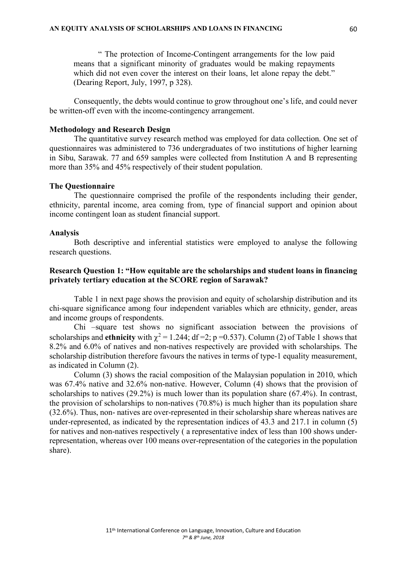" The protection of Income-Contingent arrangements for the low paid means that a significant minority of graduates would be making repayments which did not even cover the interest on their loans, let alone repay the debt." (Dearing Report, July, 1997, p 328).

Consequently, the debts would continue to grow throughout one's life, and could never be written-off even with the income-contingency arrangement.

### **Methodology and Research Design**

The quantitative survey research method was employed for data collection. One set of questionnaires was administered to 736 undergraduates of two institutions of higher learning in Sibu, Sarawak. 77 and 659 samples were collected from Institution A and B representing more than 35% and 45% respectively of their student population.

#### **The Questionnaire**

The questionnaire comprised the profile of the respondents including their gender, ethnicity, parental income, area coming from, type of financial support and opinion about income contingent loan as student financial support.

#### **Analysis**

Both descriptive and inferential statistics were employed to analyse the following research questions.

## **Research Question 1: "How equitable are the scholarships and student loans in financing privately tertiary education at the SCORE region of Sarawak?**

Table 1 in next page shows the provision and equity of scholarship distribution and its chi-square significance among four independent variables which are ethnicity, gender, areas and income groups of respondents.

Chi –square test shows no significant association between the provisions of scholarships and **ethnicity** with  $\chi^2 = 1.244$ ; df =2; p =0.537). Column (2) of Table 1 shows that 8.2% and 6.0% of natives and non-natives respectively are provided with scholarships. The scholarship distribution therefore favours the natives in terms of type-1 equality measurement, as indicated in Column (2).

Column (3) shows the racial composition of the Malaysian population in 2010, which was 67.4% native and 32.6% non-native. However, Column (4) shows that the provision of scholarships to natives (29.2%) is much lower than its population share (67.4%). In contrast, the provision of scholarships to non-natives (70.8%) is much higher than its population share (32.6%). Thus, non- natives are over-represented in their scholarship share whereas natives are under-represented, as indicated by the representation indices of 43.3 and 217.1 in column (5) for natives and non-natives respectively ( a representative index of less than 100 shows underrepresentation, whereas over 100 means over-representation of the categories in the population share).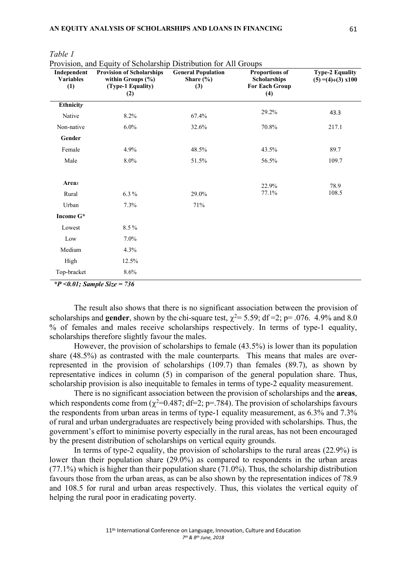| $\frac{1}{2}$ and $\frac{1}{2}$ and $\frac{1}{2}$ are $\frac{1}{2}$ and $\frac{1}{2}$ are $\frac{1}{2}$ and $\frac{1}{2}$ are $\frac{1}{2}$ and $\frac{1}{2}$ are $\frac{1}{2}$<br><b>Provision of Scholarships</b><br>Independent<br><b>Variables</b><br>within Groups $(\% )$<br>(Type-1 Equality)<br>(1)<br>(2) |         | <b>General Population</b><br>Share $(\% )$<br>(3) | <b>Proportions of</b><br><b>Scholarships</b><br><b>For Each Group</b><br>(4) | <b>Type-2 Equality</b><br>$(5) = (4) \div (3) \times 100$ |  |
|--------------------------------------------------------------------------------------------------------------------------------------------------------------------------------------------------------------------------------------------------------------------------------------------------------------------|---------|---------------------------------------------------|------------------------------------------------------------------------------|-----------------------------------------------------------|--|
| Ethnicity                                                                                                                                                                                                                                                                                                          |         |                                                   |                                                                              |                                                           |  |
| Native                                                                                                                                                                                                                                                                                                             | 8.2%    | 67.4%                                             | 29.2%                                                                        | 43.3                                                      |  |
| Non-native                                                                                                                                                                                                                                                                                                         | 6.0%    | 32.6%                                             | 70.8%                                                                        | 217.1                                                     |  |
| Gender                                                                                                                                                                                                                                                                                                             |         |                                                   |                                                                              |                                                           |  |
| Female                                                                                                                                                                                                                                                                                                             | 4.9%    | 48.5%                                             | 43.5%                                                                        | 89.7                                                      |  |
| Male                                                                                                                                                                                                                                                                                                               | 8.0%    | 51.5%                                             | 56.5%                                                                        | 109.7                                                     |  |
|                                                                                                                                                                                                                                                                                                                    |         |                                                   |                                                                              |                                                           |  |
| Areas                                                                                                                                                                                                                                                                                                              |         |                                                   | 22.9%                                                                        | 78.9                                                      |  |
| Rural                                                                                                                                                                                                                                                                                                              | $6.3\%$ | 29.0%                                             | 77.1%                                                                        | 108.5                                                     |  |
| Urban                                                                                                                                                                                                                                                                                                              | 7.3%    | 71%                                               |                                                                              |                                                           |  |
| Income G*                                                                                                                                                                                                                                                                                                          |         |                                                   |                                                                              |                                                           |  |
| Lowest                                                                                                                                                                                                                                                                                                             | 8.5%    |                                                   |                                                                              |                                                           |  |
| Low                                                                                                                                                                                                                                                                                                                | 7.0%    |                                                   |                                                                              |                                                           |  |
| Medium                                                                                                                                                                                                                                                                                                             | 4.3%    |                                                   |                                                                              |                                                           |  |
| High                                                                                                                                                                                                                                                                                                               | 12.5%   |                                                   |                                                                              |                                                           |  |
| Top-bracket                                                                                                                                                                                                                                                                                                        | 8.6%    |                                                   |                                                                              |                                                           |  |

*Table 1*

Provision, and Equity of Scholarship Distribution for All Groups

*\*P <0.01; Sample Size = 736*

The result also shows that there is no significant association between the provision of scholarships and **gender**, shown by the chi-square test,  $\gamma^2 = 5.59$ ; df =2; p= .076. 4.9% and 8.0 % of females and males receive scholarships respectively. In terms of type-1 equality, scholarships therefore slightly favour the males.

However, the provision of scholarships to female (43.5%) is lower than its population share (48.5%) as contrasted with the male counterparts. This means that males are overrepresented in the provision of scholarships (109.7) than females (89.7), as shown by representative indices in column (5) in comparison of the general population share. Thus, scholarship provision is also inequitable to females in terms of type-2 equality measurement.

There is no significant association between the provision of scholarships and the **areas**, which respondents come from  $(\chi^2=0.487; df=2; p=.784)$ . The provision of scholarships favours the respondents from urban areas in terms of type-1 equality measurement, as 6.3% and 7.3% of rural and urban undergraduates are respectively being provided with scholarships. Thus, the government's effort to minimise poverty especially in the rural areas, has not been encouraged by the present distribution of scholarships on vertical equity grounds.

In terms of type-2 equality, the provision of scholarships to the rural areas (22.9%) is lower than their population share  $(29.0\%)$  as compared to respondents in the urban areas  $(77.1\%)$  which is higher than their population share  $(71.0\%)$ . Thus, the scholarship distribution favours those from the urban areas, as can be also shown by the representation indices of 78.9 and 108.5 for rural and urban areas respectively. Thus, this violates the vertical equity of helping the rural poor in eradicating poverty.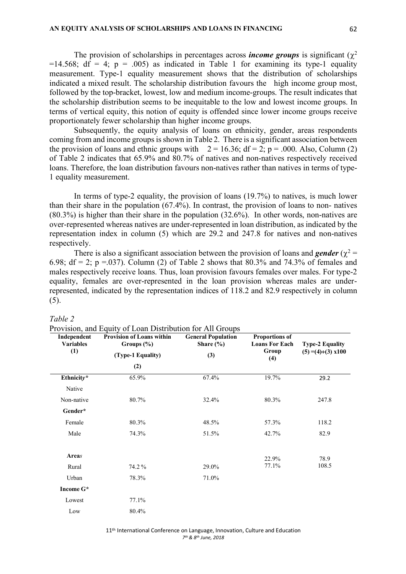The provision of scholarships in percentages across *income groups* is significant ( $\chi^2$ )  $=14.568$ ; df = 4; p = .005) as indicated in Table 1 for examining its type-1 equality measurement. Type-1 equality measurement shows that the distribution of scholarships indicated a mixed result. The scholarship distribution favours the high income group most, followed by the top-bracket, lowest, low and medium income-groups. The result indicates that the scholarship distribution seems to be inequitable to the low and lowest income groups. In terms of vertical equity, this notion of equity is offended since lower income groups receive proportionately fewer scholarship than higher income groups.

Subsequently, the equity analysis of loans on ethnicity, gender, areas respondents coming from and income groups is shown in Table 2. There is a significant association between the provision of loans and ethnic groups with  $2 = 16.36$ ; df = 2; p = .000. Also, Column (2) of Table 2 indicates that 65.9% and 80.7% of natives and non-natives respectively received loans. Therefore, the loan distribution favours non-natives rather than natives in terms of type-1 equality measurement.

In terms of type-2 equality, the provision of loans (19.7%) to natives, is much lower than their share in the population (67.4%). In contrast, the provision of loans to non- natives (80.3%) is higher than their share in the population (32.6%). In other words, non-natives are over-represented whereas natives are under-represented in loan distribution, as indicated by the representation index in column (5) which are 29.2 and 247.8 for natives and non-natives respectively.

There is also a significant association between the provision of loans and *gender* ( $\chi^2$  = 6.98; df = 2; p = 037). Column (2) of Table 2 shows that  $80.3\%$  and  $74.3\%$  of females and males respectively receive loans. Thus, loan provision favours females over males. For type-2 equality, females are over-represented in the loan provision whereas males are underrepresented, indicated by the representation indices of 118.2 and 82.9 respectively in column (5).

| abie |
|------|
|------|

|                                        | Provision, and Equity of Loan Distribution for All Groups |                                            |                                                |                                                           |  |
|----------------------------------------|-----------------------------------------------------------|--------------------------------------------|------------------------------------------------|-----------------------------------------------------------|--|
| Independent<br><b>Variables</b><br>(1) | <b>Provision of Loans within</b><br>Groups $(\%)$         | <b>General Population</b><br>Share $(\% )$ | <b>Proportions of</b><br><b>Loans For Each</b> | <b>Type-2 Equality</b><br>$(5) = (4) \div (3) \times 100$ |  |
|                                        | (Type-1 Equality)                                         | (3)                                        | Group<br>(4)                                   |                                                           |  |
|                                        | (2)                                                       |                                            |                                                |                                                           |  |
| Ethnicity*                             | 65.9%                                                     | 67.4%                                      | 19.7%                                          | 29.2                                                      |  |
| Native                                 |                                                           |                                            |                                                |                                                           |  |
| Non-native                             | 80.7%                                                     | 32.4%                                      | 80.3%                                          | 247.8                                                     |  |
| Gender*                                |                                                           |                                            |                                                |                                                           |  |
| Female                                 | 80.3%                                                     | 48.5%                                      | 57.3%                                          | 118.2                                                     |  |
| Male                                   | 74.3%                                                     | 51.5%                                      | 42.7%                                          | 82.9                                                      |  |
| Areas                                  |                                                           |                                            | 22.9%                                          | 78.9                                                      |  |
| Rural                                  | 74.2%                                                     | 29.0%                                      | 77.1%                                          | 108.5                                                     |  |
| Urban                                  | 78.3%                                                     | 71.0%                                      |                                                |                                                           |  |
| Income G*                              |                                                           |                                            |                                                |                                                           |  |
| Lowest                                 | 77.1%                                                     |                                            |                                                |                                                           |  |
| Low                                    | 80.4%                                                     |                                            |                                                |                                                           |  |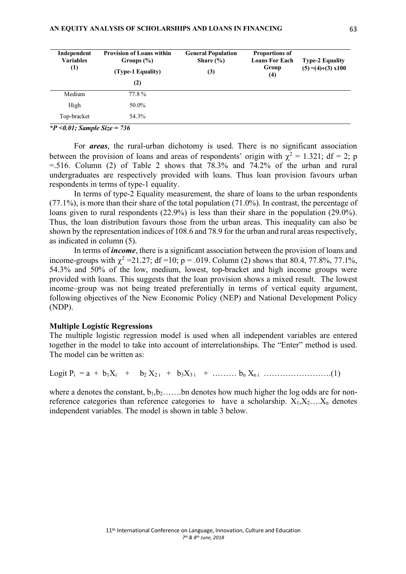| Independent<br><b>Variables</b><br>(1) | <b>Provision of Loans within</b><br>Groups $(\%)$<br>(Type-1 Equality)<br>(2) | <b>General Population</b><br>Share $(\% )$<br>(3) | <b>Proportions of</b><br><b>Loans For Each</b><br>Group<br>$\left(4\right)$ | <b>Type-2 Equality</b><br>$(5) = (4) \div (3) \times 100$ |
|----------------------------------------|-------------------------------------------------------------------------------|---------------------------------------------------|-----------------------------------------------------------------------------|-----------------------------------------------------------|
| Medium                                 | 77.8 %                                                                        |                                                   |                                                                             |                                                           |
| High                                   | 50.0%                                                                         |                                                   |                                                                             |                                                           |
| Top-bracket                            | 54.3%                                                                         |                                                   |                                                                             |                                                           |

*\*P <0.01; Sample Size = 736*

For *areas*, the rural-urban dichotomy is used. There is no significant association between the provision of loans and areas of respondents' origin with  $\chi^2 = 1.321$ ; df = 2; p  $=$  516. Column (2) of Table 2 shows that 78.3% and 74.2% of the urban and rural undergraduates are respectively provided with loans. Thus loan provision favours urban respondents in terms of type-1 equality.

In terms of type-2 Equality measurement, the share of loans to the urban respondents (77.1%), is more than their share of the total population (71.0%). In contrast, the percentage of loans given to rural respondents (22.9%) is less than their share in the population (29.0%). Thus, the loan distribution favours those from the urban areas. This inequality can also be shown by the representation indices of 108.6 and 78.9 for the urban and rural areas respectively, as indicated in column (5).

In terms of *income*, there is a significant association between the provision of loans and income-groups with  $\chi^2$  =21.27; df =10; p = .019. Column (2) shows that 80.4, 77.8%, 77.1%, 54.3% and 50% of the low, medium, lowest, top-bracket and high income groups were provided with loans. This suggests that the loan provision shows a mixed result. The lowest income–group was not being treated preferentially in terms of vertical equity argument, following objectives of the New Economic Policy (NEP) and National Development Policy (NDP).

## **Multiple Logistic Regressions**

The multiple logistic regression model is used when all independent variables are entered together in the model to take into account of interrelationships. The "Enter" method is used. The model can be written as:

Logit  $P_i = a + b_1 X_i + b_2 X_{2i} + b_3 X_{3i} + \dots + b_n X_{ni} \dots$ 

where a denotes the constant,  $b_1, b_2, \ldots, b_n$  denotes how much higher the log odds are for nonreference categories than reference categories to have a scholarship.  $X_1, X_2, \ldots, X_n$  denotes independent variables. The model is shown in table 3 below.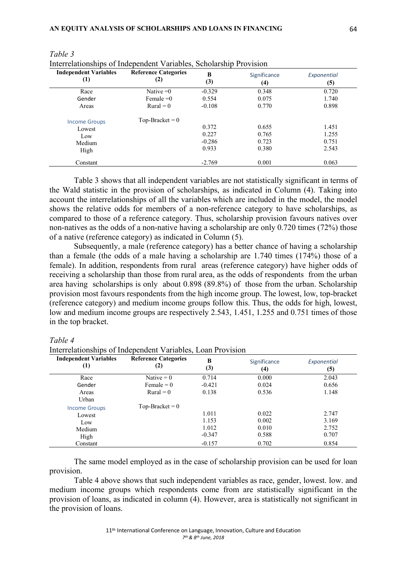| <b>Independent Variables</b><br>(1) | <b>Reference Categories</b><br>(2) | B<br>(3) | Significance<br>(4) | Exponential<br>(5) |
|-------------------------------------|------------------------------------|----------|---------------------|--------------------|
| Race                                | Native $=0$                        | $-0.329$ | 0.348               | 0.720              |
| Gender                              | Female $=0$                        | 0.554    | 0.075               | 1.740              |
| Areas                               | $Rural = 0$                        | $-0.108$ | 0.770               | 0.898              |
| <b>Income Groups</b>                | $Top-Bracket = 0$                  |          |                     |                    |
| Lowest                              |                                    | 0.372    | 0.655               | 1.451              |
| Low                                 |                                    | 0.227    | 0.765               | 1.255              |
| Medium                              |                                    | $-0.286$ | 0.723               | 0.751              |
| High                                |                                    | 0.933    | 0.380               | 2.543              |
| Constant                            |                                    | $-2.769$ | 0.001               | 0.063              |

*Table 3*

Interrelationships of Independent Variables, Scholarship Provision

Table 3 shows that all independent variables are not statistically significant in terms of the Wald statistic in the provision of scholarships, as indicated in Column (4). Taking into account the interrelationships of all the variables which are included in the model, the model shows the relative odds for members of a non-reference category to have scholarships, as compared to those of a reference category. Thus, scholarship provision favours natives over non-natives as the odds of a non-native having a scholarship are only 0.720 times (72%) those of a native (reference category) as indicated in Column (5).

Subsequently, a male (reference category) has a better chance of having a scholarship than a female (the odds of a male having a scholarship are 1.740 times (174%) those of a female). In addition, respondents from rural areas (reference category) have higher odds of receiving a scholarship than those from rural area, as the odds of respondents from the urban area having scholarships is only about 0.898 (89.8%) of those from the urban. Scholarship provision most favours respondents from the high income group. The lowest, low, top-bracket (reference category) and medium income groups follow this. Thus, the odds for high, lowest, low and medium income groups are respectively 2.543, 1.451, 1.255 and 0.751 times of those in the top bracket.

## *Table 4*

Interrelationships of Independent Variables, Loan Provision

| <b>Independent Variables</b><br>$\left(1\right)$ | <b>Reference Categories</b><br>(2) | B<br>(3) | Significance<br>(4) | Exponential<br>(5) |
|--------------------------------------------------|------------------------------------|----------|---------------------|--------------------|
| Race                                             | Native $= 0$                       | 0.714    | 0.000               | 2.043              |
| Gender                                           | Female $= 0$                       | $-0.421$ | 0.024               | 0.656              |
| Areas<br>Urban                                   | $Rural = 0$                        | 0.138    | 0.536               | 1.148              |
| <b>Income Groups</b>                             | $Top-Bracket = 0$                  |          |                     |                    |
| Lowest                                           |                                    | 1.011    | 0.022               | 2.747              |
| Low                                              |                                    | 1.153    | 0.002               | 3.169              |
| Medium                                           |                                    | 1.012    | 0.010               | 2.752              |
| High                                             |                                    | $-0.347$ | 0.588               | 0.707              |
| Constant                                         |                                    | $-0.157$ | 0.702               | 0.854              |

The same model employed as in the case of scholarship provision can be used for loan provision.

Table 4 above shows that such independent variables as race, gender, lowest. low. and medium income groups which respondents come from are statistically significant in the provision of loans, as indicated in column (4). However, area is statistically not significant in the provision of loans.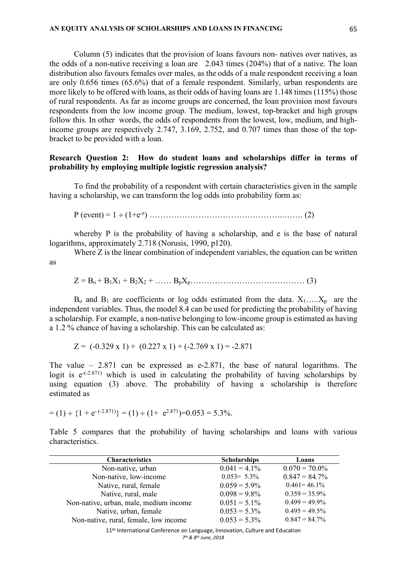Column (5) indicates that the provision of loans favours non- natives over natives, as the odds of a non-native receiving a loan are 2.043 times (204%) that of a native. The loan distribution also favours females over males, as the odds of a male respondent receiving a loan are only 0.656 times (65.6%) that of a female respondent. Similarly, urban respondents are more likely to be offered with loans, as their odds of having loans are 1.148 times (115%) those of rural respondents. As far as income groups are concerned, the loan provision most favours respondents from the low income group. The medium, lowest, top-bracket and high groups follow this. In other words, the odds of respondents from the lowest, low, medium, and highincome groups are respectively 2.747, 3.169, 2.752, and 0.707 times than those of the topbracket to be provided with a loan.

## **Research Question 2: How do student loans and scholarships differ in terms of probability by employing multiple logistic regression analysis?**

To find the probability of a respondent with certain characteristics given in the sample having a scholarship, we can transform the log odds into probability form as:

P (event) = 1 ÷ (1+e-z ) …………………………………………..……. (2)

whereby P is the probability of having a scholarship, and e is the base of natural logarithms, approximately 2.718 (Norusis, 1990, p120).

Where Z is the linear combination of independent variables, the equation can be written as

 $Z = B_0 + B_1X_1 + B_2X_2 + \dots + B_pX_p$ 

 $B_0$  and  $B_1$  are coefficients or log odds estimated from the data.  $X_1$ ….., $X_p$  are the independent variables. Thus, the model 8.4 can be used for predicting the probability of having a scholarship. For example, a non-native belonging to low-income group is estimated as having a 1.2 % chance of having a scholarship. This can be calculated as:

 $Z = (-0.329 \times 1) + (0.227 \times 1) + (-2.769 \times 1) = -2.871$ 

The value – 2.871 can be expressed as e-2.871, the base of natural logarithms. The logit is  $e^{(-2.871)}$  which is used in calculating the probability of having scholarships by using equation (3) above. The probability of having a scholarship is therefore estimated as

$$
= (1) \div \{1 + e^{-(2.871)}\} = (1) \div (1 + e^{2.871}) = 0.053 = 5.3\%.
$$

Table 5 compares that the probability of having scholarships and loans with various characteristics.

| <b>Characteristics</b>                 | <b>Scholarships</b> | Loans            |
|----------------------------------------|---------------------|------------------|
| Non-native, urban                      | $0.041 = 4.1\%$     | $0.070 = 70.0\%$ |
| Non-native, low-income                 | $0.053 = 5.3\%$     | $0.847 = 84.7\%$ |
| Native, rural, female                  | $0.059 = 5.9\%$     | $0.461 = 46.1\%$ |
| Native, rural, male                    | $0.098 = 9.8\%$     | $0.359 = 35.9\%$ |
| Non-native, urban, male, medium income | $0.051 = 5.1\%$     | $0.499 = 49.9\%$ |
| Native, urban, female                  | $0.053 = 5.3\%$     | $0.495 = 49.5\%$ |
| Non-native, rural, female, low income  | $0.053 = 5.3\%$     | $0.847 = 84.7\%$ |

11<sup>th</sup> International Conference on Language, Innovation, Culture and Education *7th & 8th June, 2018*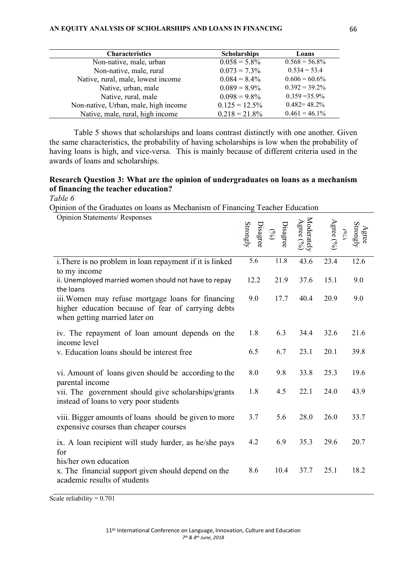## **AN EQUITY ANALYSIS OF SCHOLARSHIPS AND LOANS IN FINANCING**

| <b>Characteristics</b>               | <b>Scholarships</b> | Loans            |
|--------------------------------------|---------------------|------------------|
| Non-native, male, urban              | $0.058 = 5.8\%$     | $0.568 = 56.8\%$ |
| Non-native, male, rural              | $0.073 = 7.3\%$     | $0.534 = 53.4$   |
| Native, rural, male, lowest income   | $0.084 = 8.4\%$     | $0.606 = 60.6\%$ |
| Native, urban, male                  | $0.089 = 8.9\%$     | $0.392 = 39.2\%$ |
| Native, rural, male                  | $0.098 = 9.8\%$     | $0.359 = 35.9\%$ |
| Non-native, Urban, male, high income | $0.125 = 12.5\%$    | $0.482 = 48.2\%$ |
| Native, male, rural, high income     | $0.218 = 21.8\%$    | $0.461 = 46.1\%$ |

Table 5 shows that scholarships and loans contrast distinctly with one another. Given the same characteristics, the probability of having scholarships is low when the probability of having loans is high, and vice-versa. This is mainly because of different criteria used in the awards of loans and scholarships.

# **Research Question 3: What are the opinion of undergraduates on loans as a mechanism of financing the teacher education?**

*Table 6* 

Opinion of the Graduates on loans as Mechanism of Financing Teacher Education

| <b>Opinion Statements/ Responses</b>                                                                                                      | $\begin{array}{c}\n\mathrm{Disagree} \\ \mathrm{Strongly}\n\end{array}$ | Disagree<br>$\odot$ | Moderately $\begin{array}{l} \Lambda \mathrm{grec}\left( \mathcal{S}\right) \\ \mathrm{A\,grec}\left( \mathcal{S}\right) \end{array}$ | $\int_{0\delta\lambda}$<br>Agree (%) | Agree<br>Strongl |
|-------------------------------------------------------------------------------------------------------------------------------------------|-------------------------------------------------------------------------|---------------------|---------------------------------------------------------------------------------------------------------------------------------------|--------------------------------------|------------------|
| i. There is no problem in loan repayment if it is linked<br>to my income                                                                  | $\overline{5.6}$                                                        | $11.\overline{8}$   | 43.6                                                                                                                                  | 23.4                                 | 12.6             |
| ii. Unemployed married women should not have to repay<br>the loans                                                                        | 12.2                                                                    | 21.9                | 37.6                                                                                                                                  | 15.1                                 | 9.0              |
| iii. Women may refuse mortgage loans for financing<br>higher education because of fear of carrying debts<br>when getting married later on | 9.0                                                                     | 17.7                | 40.4                                                                                                                                  | 20.9                                 | 9.0              |
| iv. The repayment of loan amount depends on the<br>income level                                                                           | 1.8                                                                     | 6.3                 | 34.4                                                                                                                                  | 32.6                                 | 21.6             |
| v. Education loans should be interest free.                                                                                               | 6.5                                                                     | 6.7                 | 23.1                                                                                                                                  | 20.1                                 | 39.8             |
| vi. Amount of loans given should be according to the<br>parental income                                                                   | 8.0                                                                     | 9.8                 | 33.8                                                                                                                                  | 25.3                                 | 19.6             |
| vii. The government should give scholarships/grants<br>instead of loans to very poor students                                             | 1.8                                                                     | 4.5                 | 22.1                                                                                                                                  | 24.0                                 | 43.9             |
| viii. Bigger amounts of loans should be given to more<br>expensive courses than cheaper courses                                           | 3.7                                                                     | 5.6                 | 28.0                                                                                                                                  | 26.0                                 | 33.7             |
| ix. A loan recipient will study harder, as he/she pays<br>for                                                                             | 4.2                                                                     | 6.9                 | 35.3                                                                                                                                  | 29.6                                 | 20.7             |
| his/her own education<br>x. The financial support given should depend on the<br>academic results of students                              | 8.6                                                                     | 10.4                | 37.7                                                                                                                                  | 25.1                                 | 18.2             |

Scale reliability =  $0.701$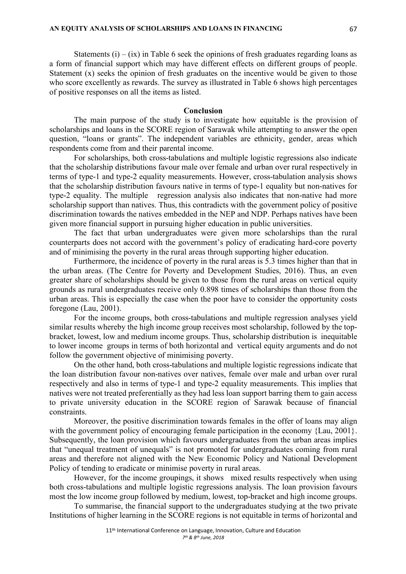Statements  $(i) - (ix)$  in Table 6 seek the opinions of fresh graduates regarding loans as a form of financial support which may have different effects on different groups of people. Statement (x) seeks the opinion of fresh graduates on the incentive would be given to those who score excellently as rewards. The survey as illustrated in Table 6 shows high percentages of positive responses on all the items as listed.

## **Conclusion**

The main purpose of the study is to investigate how equitable is the provision of scholarships and loans in the SCORE region of Sarawak while attempting to answer the open question, "loans or grants". The independent variables are ethnicity, gender, areas which respondents come from and their parental income.

For scholarships, both cross-tabulations and multiple logistic regressions also indicate that the scholarship distributions favour male over female and urban over rural respectively in terms of type-1 and type-2 equality measurements. However, cross-tabulation analysis shows that the scholarship distribution favours native in terms of type-1 equality but non-natives for type-2 equality. The multiple regression analysis also indicates that non-native had more scholarship support than natives. Thus, this contradicts with the government policy of positive discrimination towards the natives embedded in the NEP and NDP. Perhaps natives have been given more financial support in pursuing higher education in public universities.

The fact that urban undergraduates were given more scholarships than the rural counterparts does not accord with the government's policy of eradicating hard-core poverty and of minimising the poverty in the rural areas through supporting higher education.

Furthermore, the incidence of poverty in the rural areas is 5.3 times higher than that in the urban areas. (The Centre for Poverty and Development Studies, 2016). Thus, an even greater share of scholarships should be given to those from the rural areas on vertical equity grounds as rural undergraduates receive only 0.898 times of scholarships than those from the urban areas. This is especially the case when the poor have to consider the opportunity costs foregone (Lau, 2001).

For the income groups, both cross-tabulations and multiple regression analyses yield similar results whereby the high income group receives most scholarship, followed by the topbracket, lowest, low and medium income groups. Thus, scholarship distribution is inequitable to lower income groups in terms of both horizontal and vertical equity arguments and do not follow the government objective of minimising poverty.

On the other hand, both cross-tabulations and multiple logistic regressions indicate that the loan distribution favour non-natives over natives, female over male and urban over rural respectively and also in terms of type-1 and type-2 equality measurements. This implies that natives were not treated preferentially as they had less loan support barring them to gain access to private university education in the SCORE region of Sarawak because of financial constraints.

Moreover, the positive discrimination towards females in the offer of loans may align with the government policy of encouraging female participation in the economy {Lau, 2001}. Subsequently, the loan provision which favours undergraduates from the urban areas implies that "unequal treatment of unequals" is not promoted for undergraduates coming from rural areas and therefore not aligned with the New Economic Policy and National Development Policy of tending to eradicate or minimise poverty in rural areas.

However, for the income groupings, it shows mixed results respectively when using both cross-tabulations and multiple logistic regressions analysis. The loan provision favours most the low income group followed by medium, lowest, top-bracket and high income groups.

To summarise, the financial support to the undergraduates studying at the two private Institutions of higher learning in the SCORE regions is not equitable in terms of horizontal and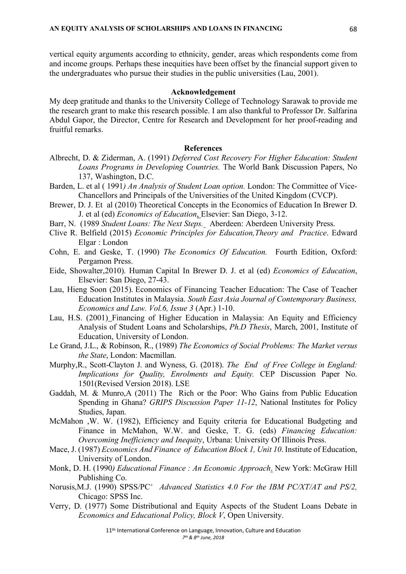vertical equity arguments according to ethnicity, gender, areas which respondents come from and income groups. Perhaps these inequities have been offset by the financial support given to the undergraduates who pursue their studies in the public universities (Lau, 2001).

#### **Acknowledgement**

My deep gratitude and thanks to the University College of Technology Sarawak to provide me the research grant to make this research possible. I am also thankful to Professor Dr. Salfarina Abdul Gapor, the Director, Centre for Research and Development for her proof-reading and fruitful remarks.

#### **References**

- Albrecht, D. & Ziderman, A. (1991) *Deferred Cost Recovery For Higher Education: Student Loans Programs in Developing Countries.* The World Bank Discussion Papers, No 137, Washington, D.C.
- Barden, L. et al ( 1991*) An Analysis of Student Loan option.* London: The Committee of Vice-Chancellors and Principals of the Universities of the United Kingdom (CVCP).
- Brewer, D. J. Et al (2010) Theoretical Concepts in the Economics of Education In Brewer D. J. et al (ed) *Economics of Education*, Elsevier: San Diego, 3-12.
- Barr, N. (1989 *Student Loans: The Next Steps.* Aberdeen: Aberdeen University Press.
- Clive R. Belfield (2015) *Economic Principles for Education,Theory and Practice*. Edward Elgar : London
- Cohn, E. and Geske, T. (1990) *The Economics Of Education.* Fourth Edition, Oxford: Pergamon Press.
- Eide, Showalter,2010). Human Capital In Brewer D. J. et al (ed) *Economics of Education*, Elsevier: San Diego, 27-43.
- Lau, Hieng Soon (2015). Economics of Financing Teacher Education: The Case of Teacher Education Institutes in Malaysia. *South East Asia Journal of Contemporary Business, Economics and Law. Vol.6, Issue 3* (Apr.) 1-10.
- Lau, H.S. (2001) Financing of Higher Education in Malaysia: An Equity and Efficiency Analysis of Student Loans and Scholarships, *Ph.D Thesis*, March, 2001, Institute of Education, University of London.
- Le Grand, J.L., & Robinson, R., (1989) *The Economics of Social Problems: The Market versus the State*, London: Macmillan.
- Murphy,R., Scott-Clayton J. and Wyness, G. (2018). *The End of Free College in England: Implications for Quality, Enrolments and Equity.* CEP Discussion Paper No. 1501(Revised Version 2018). LSE
- Gaddah, M. & Munro,A (2011) The Rich or the Poor: Who Gains from Public Education Spending in Ghana? *GRIPS Discussion Paper 11-12*, National Institutes for Policy Studies, Japan.
- McMahon ,W. W. (1982), Efficiency and Equity criteria for Educational Budgeting and Finance in McMahon, W.W. and Geske, T. G. (eds) *Financing Education: Overcoming Inefficiency and Inequity*, Urbana: University Of Illinois Press.
- Mace, J. (1987) *Economics And Finance of Education Block 1, Unit 10*. Institute of Education, University of London.
- Monk, D. H. (1990*) Educational Finance : An Economic Approach*. New York: McGraw Hill Publishing Co.
- Norusis,M.J. (1990) SPSS/PC+ *Advanced Statistics 4.0 For the IBM PC/XT/AT and PS/2,*  Chicago: SPSS Inc.
- Verry, D. (1977) Some Distributional and Equity Aspects of the Student Loans Debate in *Economics and Educational Policy, Block V*, Open University.